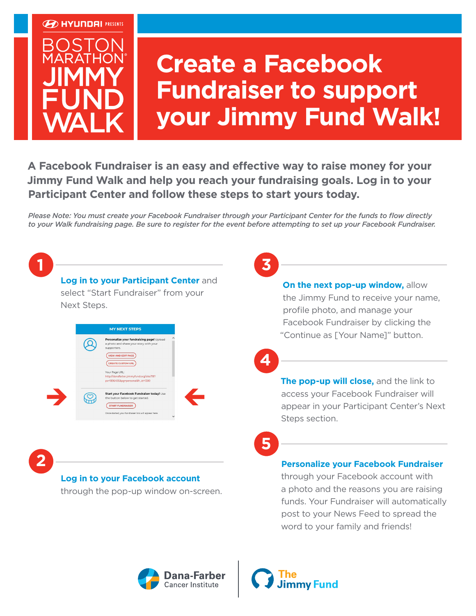



# **Create a Facebook Fundraiser to support your Jimmy Fund Walk!**

**A Facebook Fundraiser is an easy and effective way to raise money for your Jimmy Fund Walk and help you reach your fundraising goals. Log in to your Participant Center and follow these steps to start yours today.**

*Please Note: You must create your Facebook Fundraiser through your Participant Center for the funds to flow directly to your Walk fundraising page. Be sure to register for the event before attempting to set up your Facebook Fundraiser.*